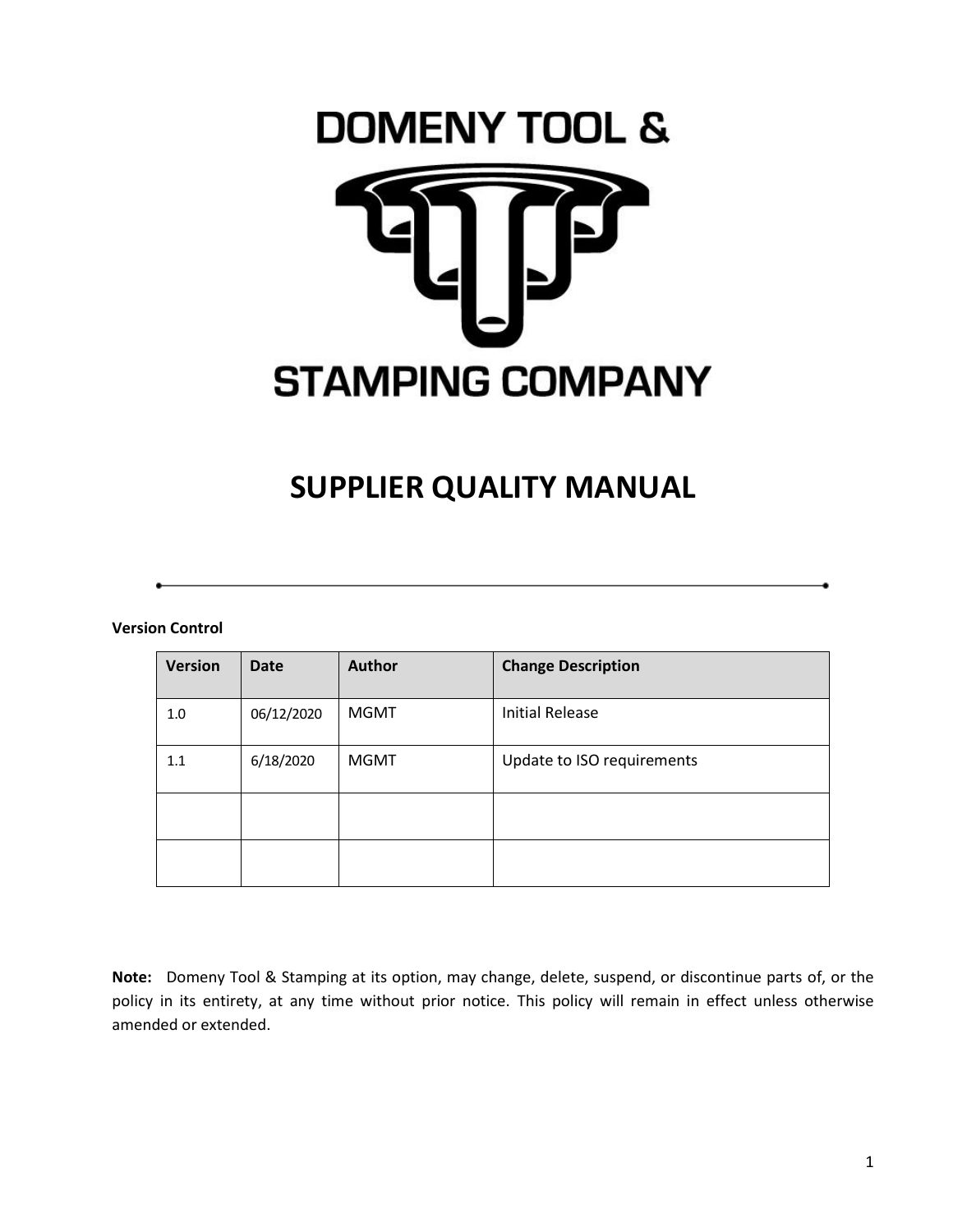# **DOMENY TOOL & STAMPING COMPANY**

# **SUPPLIER QUALITY MANUAL**

#### **Version Control**

| <b>Version</b> | <b>Date</b> | <b>Author</b> | <b>Change Description</b>  |
|----------------|-------------|---------------|----------------------------|
| 1.0            | 06/12/2020  | <b>MGMT</b>   | <b>Initial Release</b>     |
| 1.1            | 6/18/2020   | <b>MGMT</b>   | Update to ISO requirements |
|                |             |               |                            |
|                |             |               |                            |

**Note:** Domeny Tool & Stamping at its option, may change, delete, suspend, or discontinue parts of, or the policy in its entirety, at any time without prior notice. This policy will remain in effect unless otherwise amended or extended.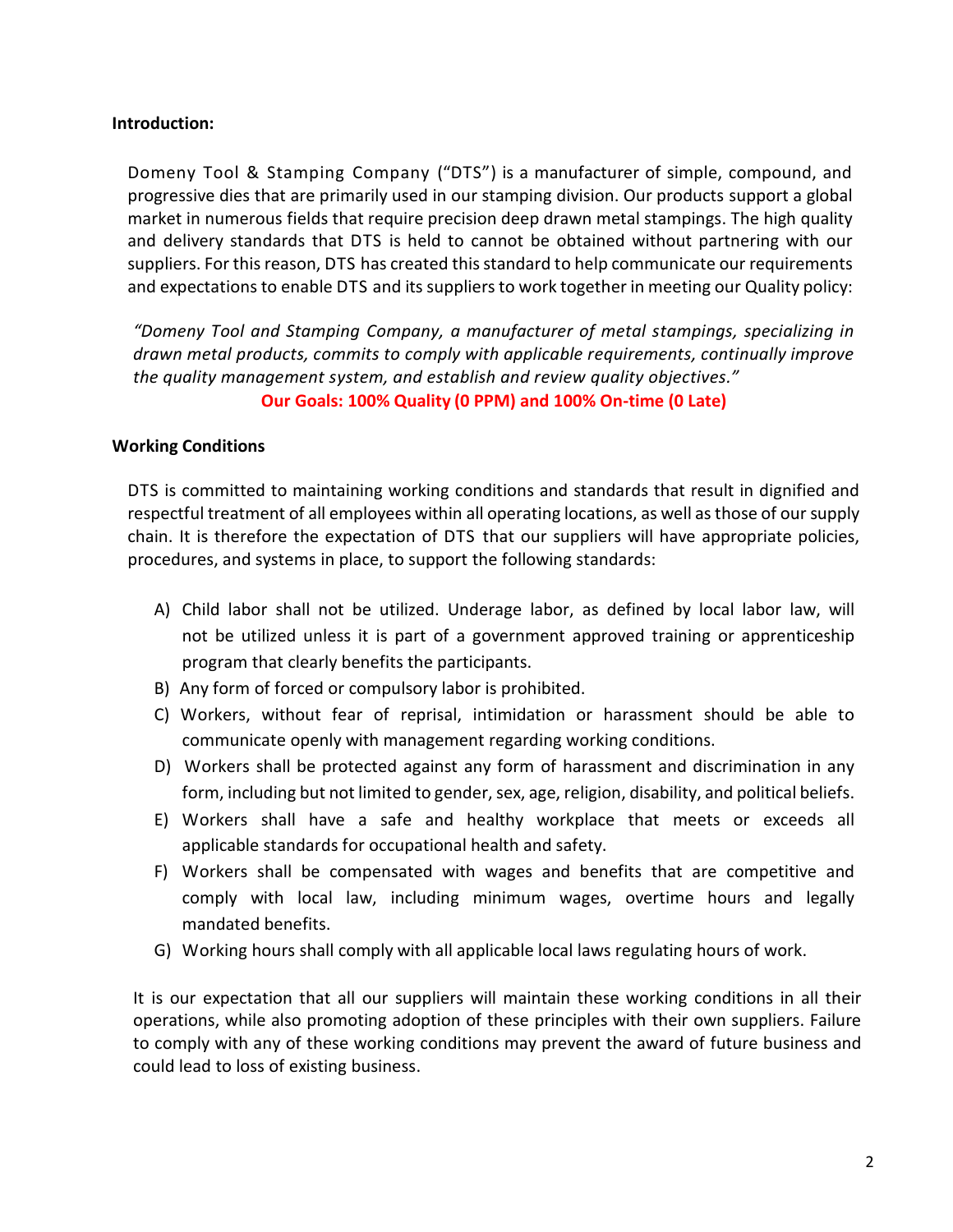# **Introduction:**

Domeny Tool & Stamping Company ("DTS") is a manufacturer of simple, compound, and progressive dies that are primarily used in our stamping division. Our products support a global market in numerous fields that require precision deep drawn metal stampings. The high quality and delivery standards that DTS is held to cannot be obtained without partnering with our suppliers. For this reason, DTS has created this standard to help communicate our requirements and expectations to enable DTS and its suppliers to work together in meeting our Quality policy:

*"Domeny Tool and Stamping Company, a manufacturer of metal stampings, specializing in drawn metal products, commits to comply with applicable requirements, continually improve the quality management system, and establish and review quality objectives."*

# **Our Goals: 100% Quality (0 PPM) and 100% On-time (0 Late)**

#### **Working Conditions**

DTS is committed to maintaining working conditions and standards that result in dignified and respectful treatment of all employees within all operating locations, as well as those of our supply chain. It is therefore the expectation of DTS that our suppliers will have appropriate policies, procedures, and systems in place, to support the following standards:

- A) Child labor shall not be utilized. Underage labor, as defined by local labor law, will not be utilized unless it is part of a government approved training or apprenticeship program that clearly benefits the participants.
- B) Any form of forced or compulsory labor is prohibited.
- C) Workers, without fear of reprisal, intimidation or harassment should be able to communicate openly with management regarding working conditions.
- D) Workers shall be protected against any form of harassment and discrimination in any form, including but not limited to gender, sex, age, religion, disability, and political beliefs.
- E) Workers shall have a safe and healthy workplace that meets or exceeds all applicable standards for occupational health and safety.
- F) Workers shall be compensated with wages and benefits that are competitive and comply with local law, including minimum wages, overtime hours and legally mandated benefits.
- G) Working hours shall comply with all applicable local laws regulating hours of work.

It is our expectation that all our suppliers will maintain these working conditions in all their operations, while also promoting adoption of these principles with their own suppliers. Failure to comply with any of these working conditions may prevent the award of future business and could lead to loss of existing business.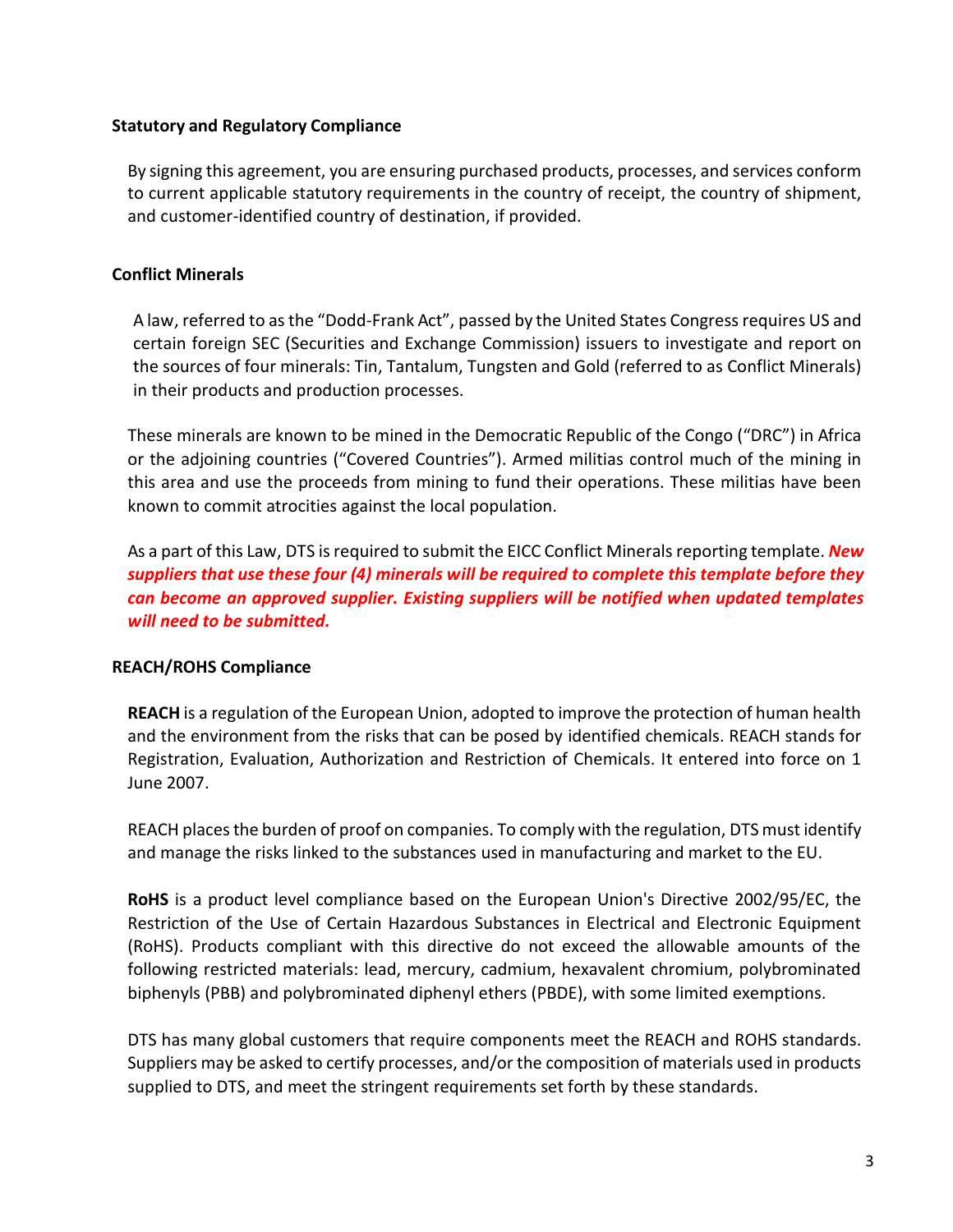### **Statutory and Regulatory Compliance**

By signing this agreement, you are ensuring purchased products, processes, and services conform to current applicable statutory requirements in the country of receipt, the country of shipment, and customer-identified country of destination, if provided.

# **Conflict Minerals**

A law, referred to asthe "Dodd-Frank Act", passed by the United States Congressrequires US and certain foreign SEC (Securities and Exchange Commission) issuers to investigate and report on the sources of four minerals: Tin, Tantalum, Tungsten and Gold (referred to as Conflict Minerals) in their products and production processes.

These minerals are known to be mined in the Democratic Republic of the Congo ("DRC") in Africa or the adjoining countries ("Covered Countries"). Armed militias control much of the mining in this area and use the proceeds from mining to fund their operations. These militias have been known to commit atrocities against the local population.

As a part of this Law, DTS isrequired to submit the EICC Conflict Minerals reporting template. *New suppliers that use these four (4) minerals will be required to complete this template before they can become an approved supplier. Existing suppliers will be notified when updated templates will need to be submitted.*

#### **REACH/ROHS Compliance**

**REACH** is a regulation of the European Union, adopted to improve the protection of human health and the environment from the risks that can be posed by identified chemicals. REACH stands for Registration, Evaluation, Authorization and Restriction of Chemicals. It entered into force on 1 June 2007.

REACH places the burden of proof on companies. To comply with the regulation, DTS must identify and manage the risks linked to the substances used in manufacturing and market to the EU.

**RoHS** is a product level compliance based on the European Union's Directive 2002/95/EC, the Restriction of the Use of Certain Hazardous Substances in Electrical and Electronic Equipment (RoHS). Products compliant with this directive do not exceed the allowable amounts of the following restricted materials: lead, mercury, cadmium, hexavalent chromium, polybrominated biphenyls (PBB) and polybrominated diphenyl ethers (PBDE), with some limited exemptions.

DTS has many global customers that require components meet the REACH and ROHS standards. Suppliers may be asked to certify processes, and/or the composition of materials used in products supplied to DTS, and meet the stringent requirements set forth by these standards.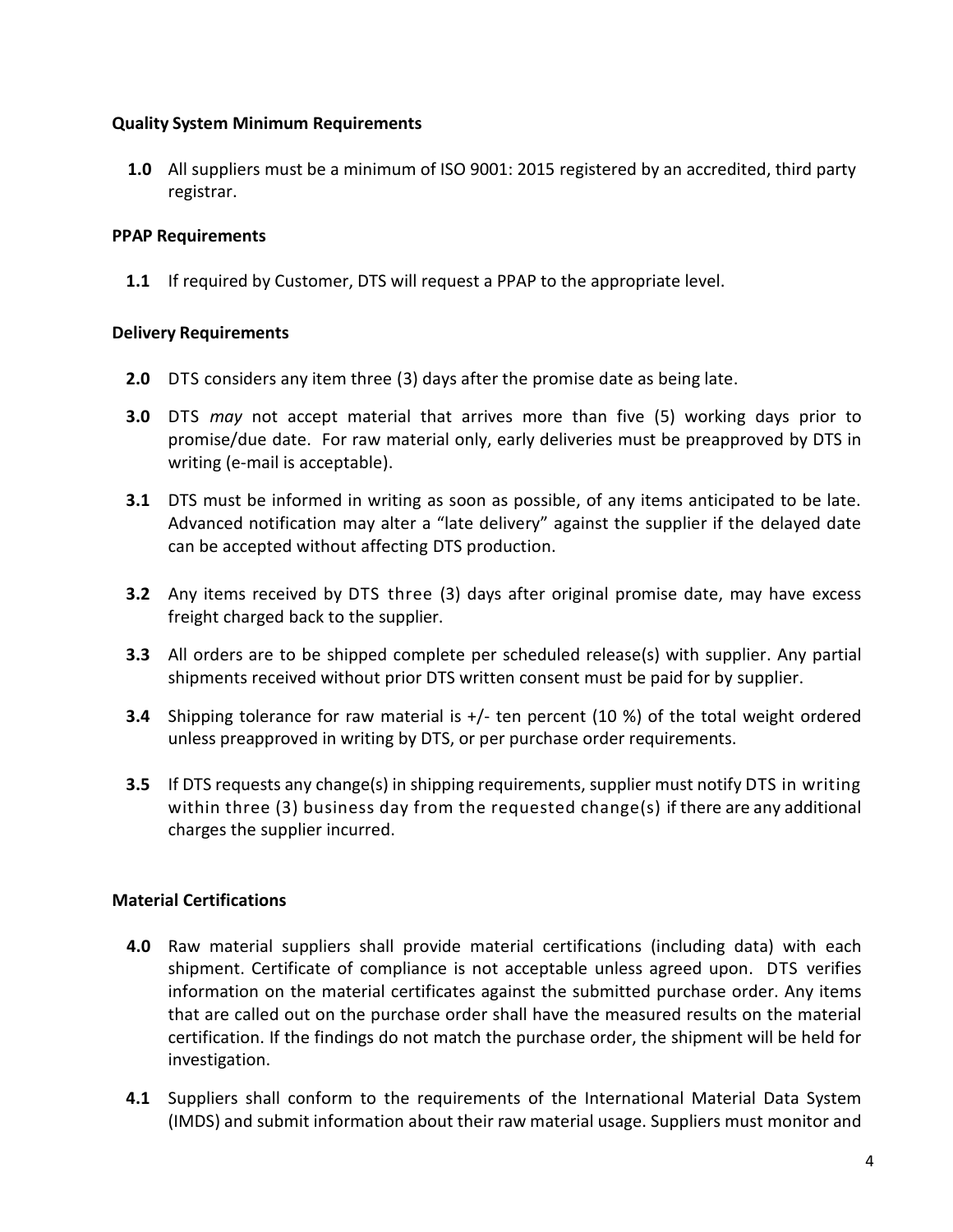# **Quality System Minimum Requirements**

**1.0** All suppliers must be a minimum of ISO 9001: 2015 registered by an accredited, third party registrar.

# **PPAP Requirements**

**1.1** If required by Customer, DTS will request a PPAP to the appropriate level.

# **Delivery Requirements**

- **2.0** DTS considers any item three (3) days after the promise date as being late.
- **3.0** DTS *may* not accept material that arrives more than five (5) working days prior to promise/due date. For raw material only, early deliveries must be preapproved by DTS in writing (e-mail is acceptable).
- **3.1** DTS must be informed in writing as soon as possible, of any items anticipated to be late. Advanced notification may alter a "late delivery" against the supplier if the delayed date can be accepted without affecting DTS production.
- **3.2** Any items received by DTS three (3) days after original promise date, may have excess freight charged back to the supplier.
- **3.3** All orders are to be shipped complete per scheduled release(s) with supplier. Any partial shipments received without prior DTS written consent must be paid for by supplier.
- **3.4** Shipping tolerance for raw material is +/- ten percent (10 %) of the total weight ordered unless preapproved in writing by DTS, or per purchase order requirements.
- **3.5** If DTS requests any change(s) in shipping requirements, supplier must notify DTS in writing within three (3) business day from the requested change(s) if there are any additional charges the supplier incurred.

# **Material Certifications**

- **4.0** Raw material suppliers shall provide material certifications (including data) with each shipment. Certificate of compliance is not acceptable unless agreed upon. DTS verifies information on the material certificates against the submitted purchase order. Any items that are called out on the purchase order shall have the measured results on the material certification. If the findings do not match the purchase order, the shipment will be held for investigation.
- **4.1** Suppliers shall conform to the requirements of the International Material Data System (IMDS) and submit information about their raw material usage. Suppliers must monitor and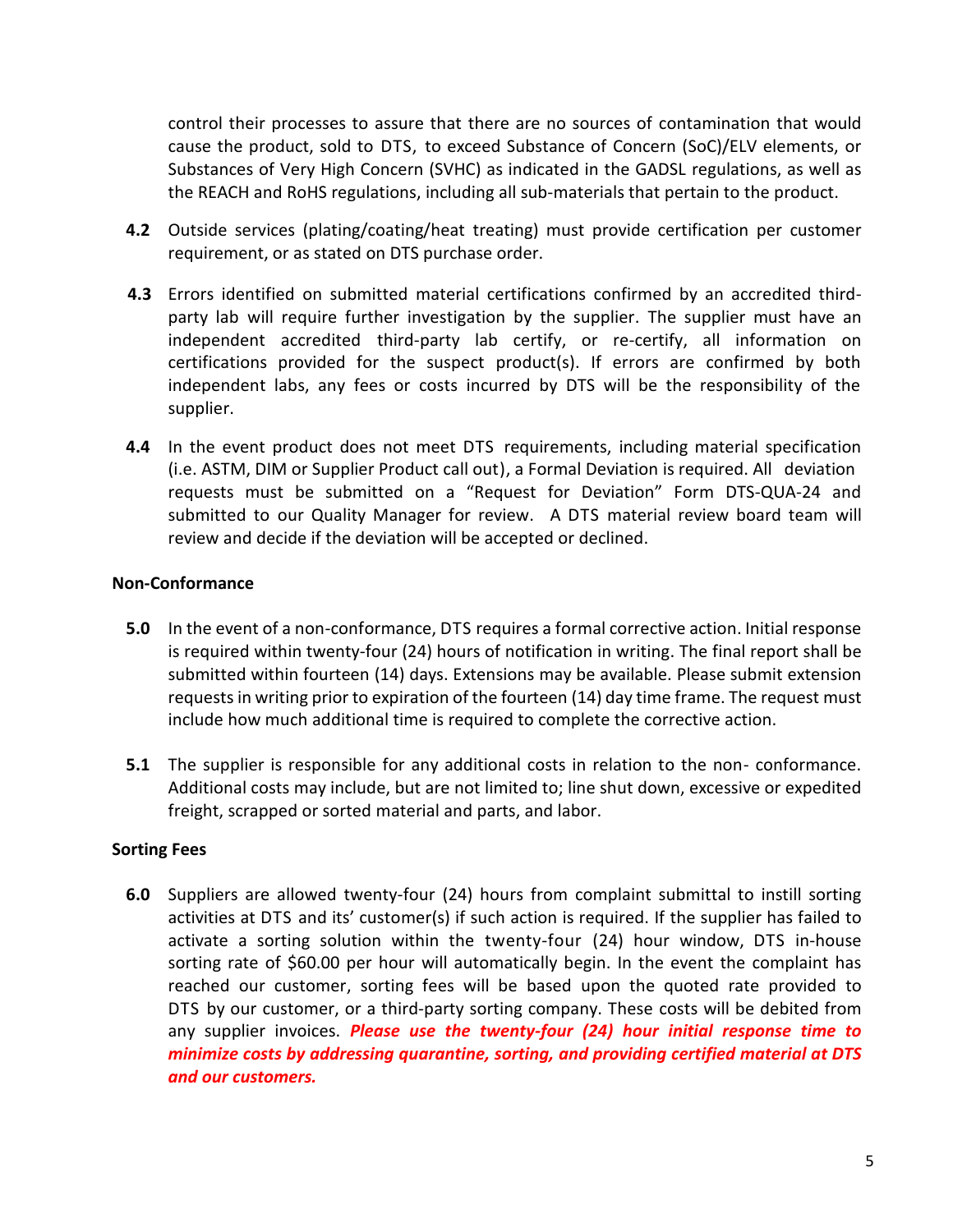control their processes to assure that there are no sources of contamination that would cause the product, sold to DTS, to exceed Substance of Concern (SoC)/ELV elements, or Substances of Very High Concern (SVHC) as indicated in the GADSL regulations, as well as the REACH and RoHS regulations, including all sub-materials that pertain to the product.

- **4.2** Outside services (plating/coating/heat treating) must provide certification per customer requirement, or as stated on DTS purchase order.
- **4.3** Errors identified on submitted material certifications confirmed by an accredited thirdparty lab will require further investigation by the supplier. The supplier must have an independent accredited third-party lab certify, or re-certify, all information on certifications provided for the suspect product(s). If errors are confirmed by both independent labs, any fees or costs incurred by DTS will be the responsibility of the supplier.
- **4.4** In the event product does not meet DTS requirements, including material specification (i.e. ASTM, DIM or Supplier Product call out), a Formal Deviation is required. All deviation requests must be submitted on a "Request for Deviation" Form DTS-QUA-24 and submitted to our Quality Manager for review. A DTS material review board team will review and decide if the deviation will be accepted or declined.

# **Non-Conformance**

- **5.0** In the event of a non-conformance, DTS requires a formal corrective action. Initial response is required within twenty-four (24) hours of notification in writing. The final report shall be submitted within fourteen (14) days. Extensions may be available. Please submit extension requests in writing prior to expiration of the fourteen (14) day time frame. The request must include how much additional time is required to complete the corrective action.
- **5.1** The supplier is responsible for any additional costs in relation to the non- conformance. Additional costs may include, but are not limited to; line shut down, excessive or expedited freight, scrapped or sorted material and parts, and labor.

#### **Sorting Fees**

**6.0** Suppliers are allowed twenty-four (24) hours from complaint submittal to instill sorting activities at DTS and its' customer(s) if such action is required. If the supplier has failed to activate a sorting solution within the twenty-four (24) hour window, DTS in-house sorting rate of \$60.00 per hour will automatically begin. In the event the complaint has reached our customer, sorting fees will be based upon the quoted rate provided to DTS by our customer, or a third-party sorting company. These costs will be debited from any supplier invoices. *Please use the twenty-four (24) hour initial response time to minimize costs by addressing quarantine, sorting, and providing certified material at DTS and our customers.*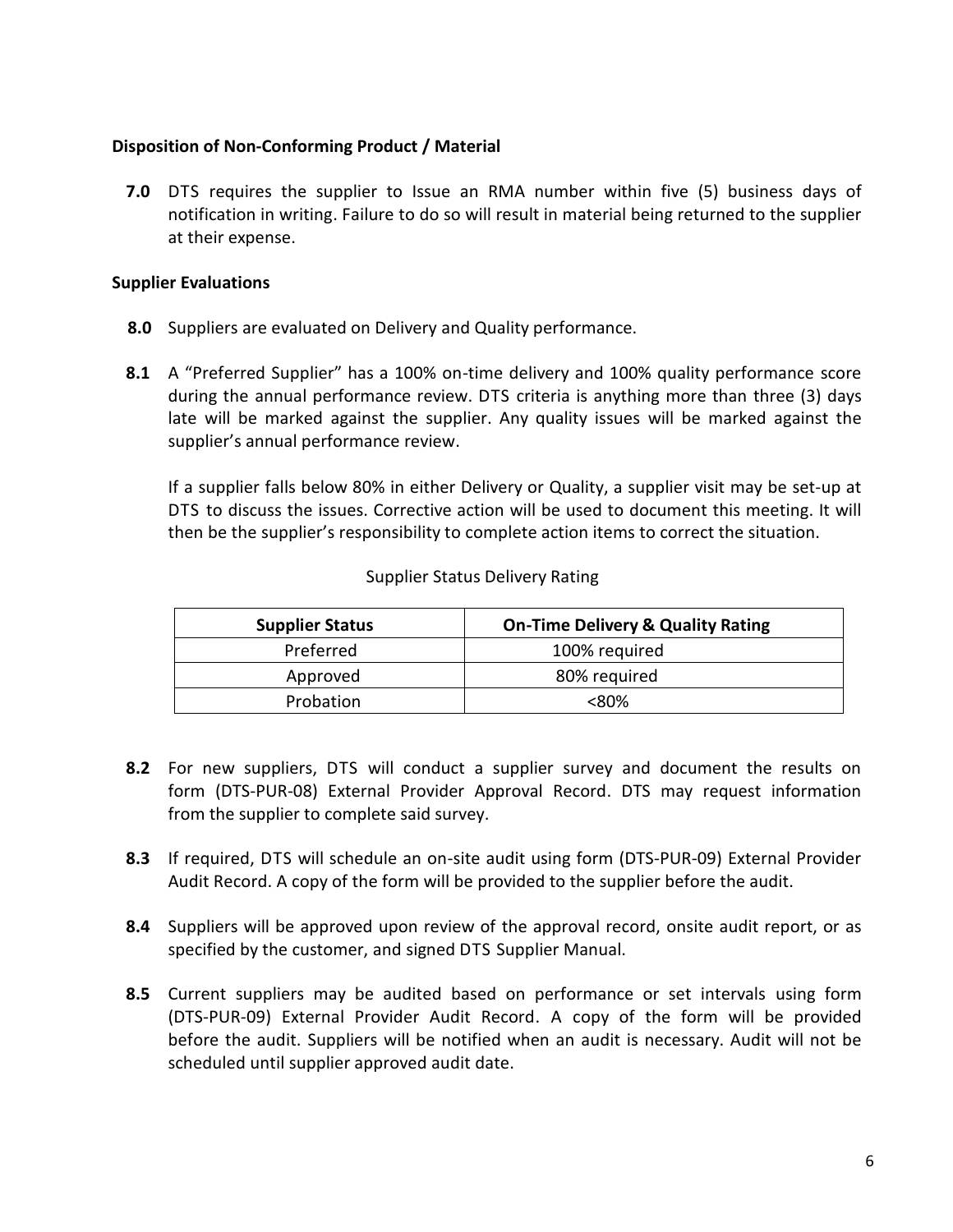## **Disposition of Non-Conforming Product / Material**

**7.0** DTS requires the supplier to Issue an RMA number within five (5) business days of notification in writing. Failure to do so will result in material being returned to the supplier at their expense.

## **Supplier Evaluations**

- **8.0** Suppliers are evaluated on Delivery and Quality performance.
- **8.1** A "Preferred Supplier" has a 100% on-time delivery and 100% quality performance score during the annual performance review. DTS criteria is anything more than three (3) days late will be marked against the supplier. Any quality issues will be marked against the supplier's annual performance review.

If a supplier falls below 80% in either Delivery or Quality, a supplier visit may be set-up at DTS to discuss the issues. Corrective action will be used to document this meeting. It will then be the supplier's responsibility to complete action items to correct the situation.

| <b>Supplier Status</b> | <b>On-Time Delivery &amp; Quality Rating</b> |
|------------------------|----------------------------------------------|
| Preferred              | 100% required                                |
| Approved               | 80% required                                 |
| Probation              | <ጸበ%                                         |

#### Supplier Status Delivery Rating

- **8.2** For new suppliers, DTS will conduct a supplier survey and document the results on form (DTS-PUR-08) External Provider Approval Record. DTS may request information from the supplier to complete said survey.
- **8.3** If required, DTS will schedule an on-site audit using form (DTS-PUR-09) External Provider Audit Record. A copy of the form will be provided to the supplier before the audit.
- **8.4** Suppliers will be approved upon review of the approval record, onsite audit report, or as specified by the customer, and signed DTS Supplier Manual.
- **8.5** Current suppliers may be audited based on performance or set intervals using form (DTS-PUR-09) External Provider Audit Record. A copy of the form will be provided before the audit. Suppliers will be notified when an audit is necessary. Audit will not be scheduled until supplier approved audit date.